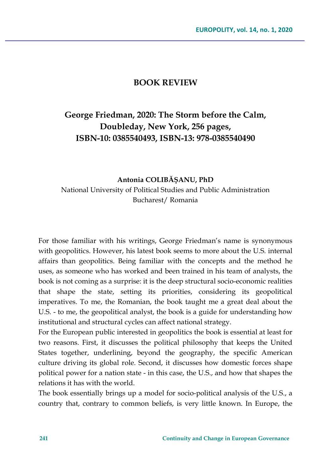## **BOOK REVIEW**

## **George Friedman, 2020: The Storm before the Calm, Doubleday, New York, 256 pages, ISBN-10: 0385540493, ISBN-13: 978-0385540490**

## **Antonia COLIBĂŞANU, PhD** National University of Political Studies and Public Administration Bucharest/ Romania

For those familiar with his writings, George Friedman's name is synonymous with geopolitics. However, his latest book seems to more about the U.S. internal affairs than geopolitics. Being familiar with the concepts and the method he uses, as someone who has worked and been trained in his team of analysts, the book is not coming as a surprise: it is the deep structural socio-economic realities that shape the state, setting its priorities, considering its geopolitical imperatives. To me, the Romanian, the book taught me a great deal about the U.S. - to me, the geopolitical analyst, the book is a guide for understanding how institutional and structural cycles can affect national strategy.

For the European public interested in geopolitics the book is essential at least for two reasons. First, it discusses the political philosophy that keeps the United States together, underlining, beyond the geography, the specific American culture driving its global role. Second, it discusses how domestic forces shape political power for a nation state - in this case, the U.S., and how that shapes the relations it has with the world.

The book essentially brings up a model for socio-political analysis of the U.S., a country that, contrary to common beliefs, is very little known. In Europe, the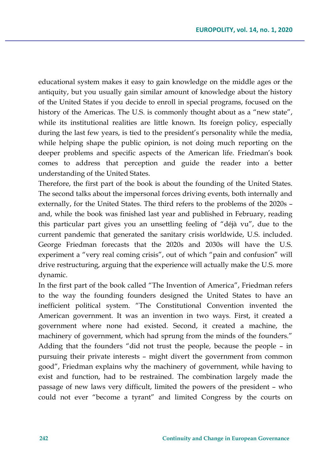educational system makes it easy to gain knowledge on the middle ages or the antiquity, but you usually gain similar amount of knowledge about the history of the United States if you decide to enroll in special programs, focused on the history of the Americas. The U.S. is commonly thought about as a "new state", while its institutional realities are little known. Its foreign policy, especially during the last few years, is tied to the president's personality while the media, while helping shape the public opinion, is not doing much reporting on the deeper problems and specific aspects of the American life. Friedman's book comes to address that perception and guide the reader into a better understanding of the United States.

Therefore, the first part of the book is about the founding of the United States. The second talks about the impersonal forces driving events, both internally and externally, for the United States. The third refers to the problems of the 2020s – and, while the book was finished last year and published in February, reading this particular part gives you an unsettling feeling of "déjà vu", due to the current pandemic that generated the sanitary crisis worldwide, U.S. included. George Friedman forecasts that the 2020s and 2030s will have the U.S. experiment a "very real coming crisis", out of which "pain and confusion" will drive restructuring, arguing that the experience will actually make the U.S. more dynamic.

In the first part of the book called "The Invention of America", Friedman refers to the way the founding founders designed the United States to have an inefficient political system. "The Constitutional Convention invented the American government. It was an invention in two ways. First, it created a government where none had existed. Second, it created a machine, the machinery of government, which had sprung from the minds of the founders."

Adding that the founders "did not trust the people, because the people – in pursuing their private interests – might divert the government from common good", Friedman explains why the machinery of government, while having to exist and function, had to be restrained. The combination largely made the passage of new laws very difficult, limited the powers of the president – who could not ever "become a tyrant" and limited Congress by the courts on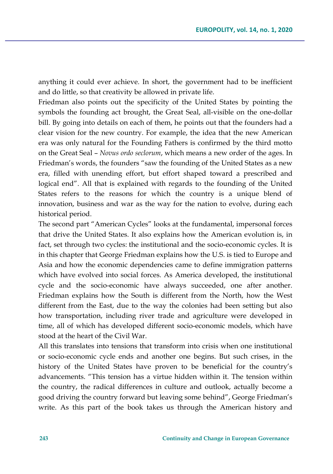anything it could ever achieve. In short, the government had to be inefficient and do little, so that creativity be allowed in private life.

Friedman also points out the specificity of the United States by pointing the symbols the founding act brought, the Great Seal, all-visible on the one-dollar bill. By going into details on each of them, he points out that the founders had a clear vision for the new country. For example, the idea that the new American era was only natural for the Founding Fathers is confirmed by the third motto on the Great Seal – *Novus ordo seclorum*, which means a new order of the ages. In Friedman's words, the founders "saw the founding of the United States as a new era, filled with unending effort, but effort shaped toward a prescribed and logical end". All that is explained with regards to the founding of the United States refers to the reasons for which the country is a unique blend of innovation, business and war as the way for the nation to evolve, during each historical period.

The second part "American Cycles" looks at the fundamental, impersonal forces that drive the United States. It also explains how the American evolution is, in fact, set through two cycles: the institutional and the socio-economic cycles. It is in this chapter that George Friedman explains how the U.S. is tied to Europe and Asia and how the economic dependencies came to define immigration patterns which have evolved into social forces. As America developed, the institutional cycle and the socio-economic have always succeeded, one after another. Friedman explains how the South is different from the North, how the West different from the East, due to the way the colonies had been setting but also how transportation, including river trade and agriculture were developed in time, all of which has developed different socio-economic models, which have stood at the heart of the Civil War.

All this translates into tensions that transform into crisis when one institutional or socio-economic cycle ends and another one begins. But such crises, in the history of the United States have proven to be beneficial for the country's advancements. "This tension has a virtue hidden within it. The tension within the country, the radical differences in culture and outlook, actually become a good driving the country forward but leaving some behind", George Friedman's write. As this part of the book takes us through the American history and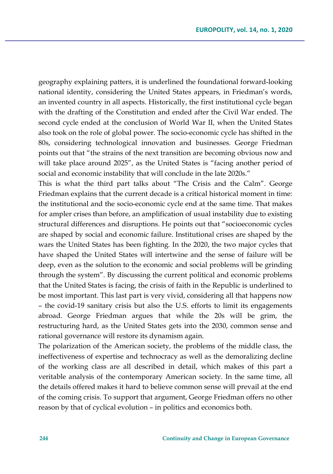geography explaining patters, it is underlined the foundational forward-looking national identity, considering the United States appears, in Friedman's words, an invented country in all aspects. Historically, the first institutional cycle began with the drafting of the Constitution and ended after the Civil War ended. The second cycle ended at the conclusion of World War II, when the United States also took on the role of global power. The socio-economic cycle has shifted in the 80s, considering technological innovation and businesses. George Friedman points out that "the strains of the next transition are becoming obvious now and will take place around 2025", as the United States is "facing another period of social and economic instability that will conclude in the late 2020s."

This is what the third part talks about "The Crisis and the Calm". George Friedman explains that the current decade is a critical historical moment in time: the institutional and the socio-economic cycle end at the same time. That makes for ampler crises than before, an amplification of usual instability due to existing structural differences and disruptions. He points out that "socioeconomic cycles are shaped by social and economic failure. Institutional crises are shaped by the wars the United States has been fighting. In the 2020, the two major cycles that have shaped the United States will intertwine and the sense of failure will be deep, even as the solution to the economic and social problems will be grinding through the system". By discussing the current political and economic problems that the United States is facing, the crisis of faith in the Republic is underlined to be most important. This last part is very vivid, considering all that happens now – the covid-19 sanitary crisis but also the U.S. efforts to limit its engagements abroad. George Friedman argues that while the 20s will be grim, the restructuring hard, as the United States gets into the 2030, common sense and rational governance will restore its dynamism again.

The polarization of the American society, the problems of the middle class, the ineffectiveness of expertise and technocracy as well as the demoralizing decline of the working class are all described in detail, which makes of this part a veritable analysis of the contemporary American society. In the same time, all the details offered makes it hard to believe common sense will prevail at the end of the coming crisis. To support that argument, George Friedman offers no other reason by that of cyclical evolution – in politics and economics both.